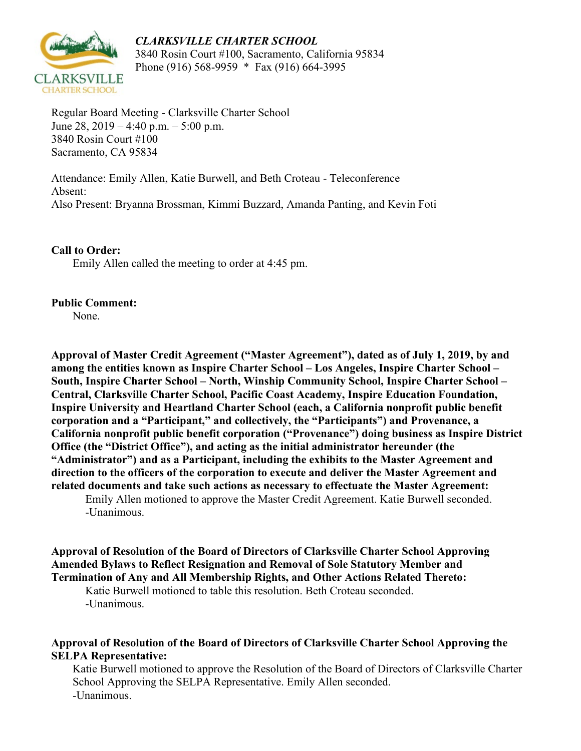

*CLARKSVILLE CHARTER SCHOOL* 3840 Rosin Court #100, Sacramento, California 95834 Phone (916) 568-9959 \* Fax (916) 664-3995

Regular Board Meeting - Clarksville Charter School June 28,  $2019 - 4:40$  p.m.  $- 5:00$  p.m. 3840 Rosin Court #100 Sacramento, CA 95834

Attendance: Emily Allen, Katie Burwell, and Beth Croteau - Teleconference Absent: Also Present: Bryanna Brossman, Kimmi Buzzard, Amanda Panting, and Kevin Foti

**Call to Order:**

Emily Allen called the meeting to order at 4:45 pm.

## **Public Comment:** None.

**Approval of Master Credit Agreement ("Master Agreement"), dated as of July 1, 2019, by and among the entities known as Inspire Charter School – Los Angeles, Inspire Charter School – South, Inspire Charter School – North, Winship Community School, Inspire Charter School – Central, Clarksville Charter School, Pacific Coast Academy, Inspire Education Foundation, Inspire University and Heartland Charter School (each, a California nonprofit public benefit corporation and a "Participant," and collectively, the "Participants") and Provenance, a California nonprofit public benefit corporation ("Provenance") doing business as Inspire District Office (the "District Office"), and acting as the initial administrator hereunder (the "Administrator") and as a Participant, including the exhibits to the Master Agreement and direction to the officers of the corporation to execute and deliver the Master Agreement and related documents and take such actions as necessary to effectuate the Master Agreement:** Emily Allen motioned to approve the Master Credit Agreement. Katie Burwell seconded.

-Unanimous.

**Approval of Resolution of the Board of Directors of Clarksville Charter School Approving Amended Bylaws to Reflect Resignation and Removal of Sole Statutory Member and Termination of Any and All Membership Rights, and Other Actions Related Thereto:**

Katie Burwell motioned to table this resolution. Beth Croteau seconded. -Unanimous.

## **Approval of Resolution of the Board of Directors of Clarksville Charter School Approving the SELPA Representative:**

Katie Burwell motioned to approve the Resolution of the Board of Directors of Clarksville Charter School Approving the SELPA Representative. Emily Allen seconded. -Unanimous.